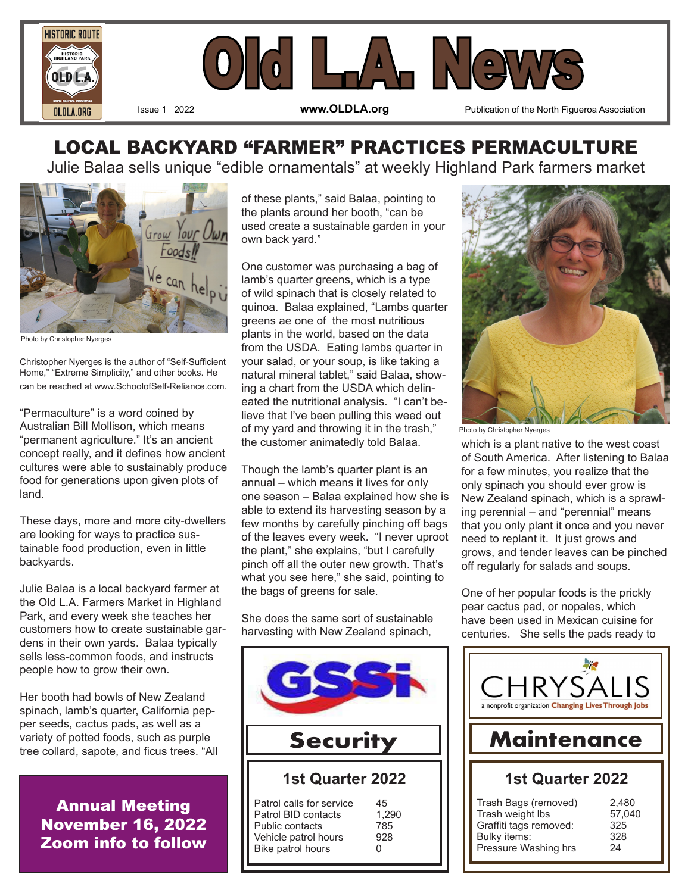



Issue 1 2022 **www.OLDLA.org** Publication of the North Figueroa Association

# LOCAL BACKYARD "FARMER" PRACTICES PERMACULTURE

Julie Balaa sells unique "edible ornamentals" at weekly Highland Park farmers market



Photo by Christopher Nyerges

Christopher Nyerges is the author of "Self-Sufficient Home," "Extreme Simplicity," and other books. He can be reached at www.SchoolofSelf-Reliance.com.

"Permaculture" is a word coined by Australian Bill Mollison, which means "permanent agriculture." It's an ancient concept really, and it defines how ancient cultures were able to sustainably produce food for generations upon given plots of land.

These days, more and more city-dwellers are looking for ways to practice sustainable food production, even in little backyards.

Julie Balaa is a local backyard farmer at the Old L.A. Farmers Market in Highland Park, and every week she teaches her customers how to create sustainable gardens in their own yards. Balaa typically sells less-common foods, and instructs people how to grow their own.

Her booth had bowls of New Zealand spinach, lamb's quarter, California pepper seeds, cactus pads, as well as a variety of potted foods, such as purple tree collard, sapote, and ficus trees. "All

> Annual Meeting November 16, 2022 Zoom info to follow

of these plants," said Balaa, pointing to the plants around her booth, "can be used create a sustainable garden in your own back yard."

One customer was purchasing a bag of lamb's quarter greens, which is a type of wild spinach that is closely related to quinoa. Balaa explained, "Lambs quarter greens ae one of the most nutritious plants in the world, based on the data from the USDA. Eating lambs quarter in your salad, or your soup, is like taking a natural mineral tablet," said Balaa, showing a chart from the USDA which delineated the nutritional analysis. "I can't believe that I've been pulling this weed out of my yard and throwing it in the trash," the customer animatedly told Balaa.

Though the lamb's quarter plant is an annual – which means it lives for only one season – Balaa explained how she is able to extend its harvesting season by a few months by carefully pinching off bags of the leaves every week. "I never uproot the plant," she explains, "but I carefully pinch off all the outer new growth. That's what you see here," she said, pointing to the bags of greens for sale.

She does the same sort of sustainable harvesting with New Zealand spinach,





Photo by Christopher Nyerges

which is a plant native to the west coast of South America. After listening to Balaa for a few minutes, you realize that the only spinach you should ever grow is New Zealand spinach, which is a sprawling perennial – and "perennial" means that you only plant it once and you never need to replant it. It just grows and grows, and tender leaves can be pinched off regularly for salads and soups.

One of her popular foods is the prickly pear cactus pad, or nopales, which have been used in Mexican cuisine for centuries. She sells the pads ready to